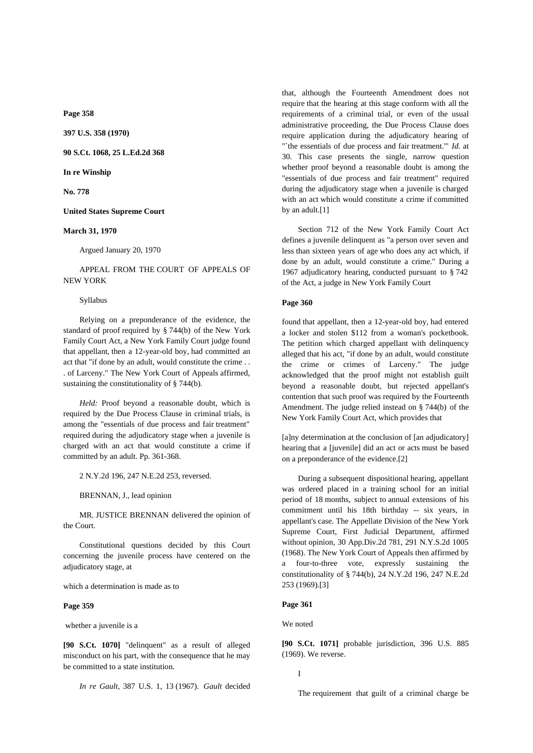**Page 358**

**397 U.S. 358 (1970)**

**90 S.Ct. 1068, 25 L.Ed.2d 368**

**In re Winship**

**No. 778**

### **United States Supreme Court**

### **March 31, 1970**

Argued January 20, 1970

 APPEAL FROM THE COURT OF APPEALS OF NEW YORK

#### Syllabus

 Relying on a preponderance of the evidence, the standard of proof required by § 744(b) of the New York Family Court Act, a New York Family Court judge found that appellant, then a 12-year-old boy, had committed an act that "if done by an adult, would constitute the crime . . . of Larceny." The New York Court of Appeals affirmed, sustaining the constitutionality of § 744(b).

 *Held:* Proof beyond a reasonable doubt, which is required by the Due Process Clause in criminal trials, is among the "essentials of due process and fair treatment" required during the adjudicatory stage when a juvenile is charged with an act that would constitute a crime if committed by an adult. Pp. 361-368.

2 N.Y.2d 196, 247 N.E.2d 253, reversed.

BRENNAN, J., lead opinion

 MR. JUSTICE BRENNAN delivered the opinion of the Court.

 Constitutional questions decided by this Court concerning the juvenile process have centered on the adjudicatory stage, at

which a determination is made as to

#### **Page 359**

whether a juvenile is a

**[90 S.Ct. 1070]** "delinquent" as a result of alleged misconduct on his part, with the consequence that he may be committed to a state institution.

*In re Gault*, 387 U.S. 1, 13 (1967). *Gault* decided

that, although the Fourteenth Amendment does not require that the hearing at this stage conform with all the requirements of a criminal trial, or even of the usual administrative proceeding, the Due Process Clause does require application during the adjudicatory hearing of " the essentials of due process and fair treatment." *Id.* at 30. This case presents the single, narrow question whether proof beyond a reasonable doubt is among the "essentials of due process and fair treatment" required during the adjudicatory stage when a juvenile is charged with an act which would constitute a crime if committed by an adult.[1]

 Section 712 of the New York Family Court Act defines a juvenile delinquent as "a person over seven and less than sixteen years of age who does any act which, if done by an adult, would constitute a crime." During a 1967 adjudicatory hearing, conducted pursuant to § 742 of the Act, a judge in New York Family Court

## **Page 360**

found that appellant, then a 12-year-old boy, had entered a locker and stolen \$112 from a woman's pocketbook. The petition which charged appellant with delinquency alleged that his act, "if done by an adult, would constitute the crime or crimes of Larceny." The judge acknowledged that the proof might not establish guilt beyond a reasonable doubt, but rejected appellant's contention that such proof was required by the Fourteenth Amendment. The judge relied instead on § 744(b) of the New York Family Court Act, which provides that

[a]ny determination at the conclusion of [an adjudicatory] hearing that a [juvenile] did an act or acts must be based on a preponderance of the evidence.[2]

 During a subsequent dispositional hearing, appellant was ordered placed in a training school for an initial period of 18 months, subject to annual extensions of his commitment until his 18th birthday -- six years, in appellant's case. The Appellate Division of the New York Supreme Court, First Judicial Department, affirmed without opinion, 30 App.Div.2d 781, 291 N.Y.S.2d 1005 (1968). The New York Court of Appeals then affirmed by a four-to-three vote, expressly sustaining the constitutionality of § 744(b), 24 N.Y.2d 196, 247 N.E.2d 253 (1969).[3]

### **Page 361**

We noted

**[90 S.Ct. 1071]** probable jurisdiction, 396 U.S. 885 (1969). We reverse.

I

The requirement that guilt of a criminal charge be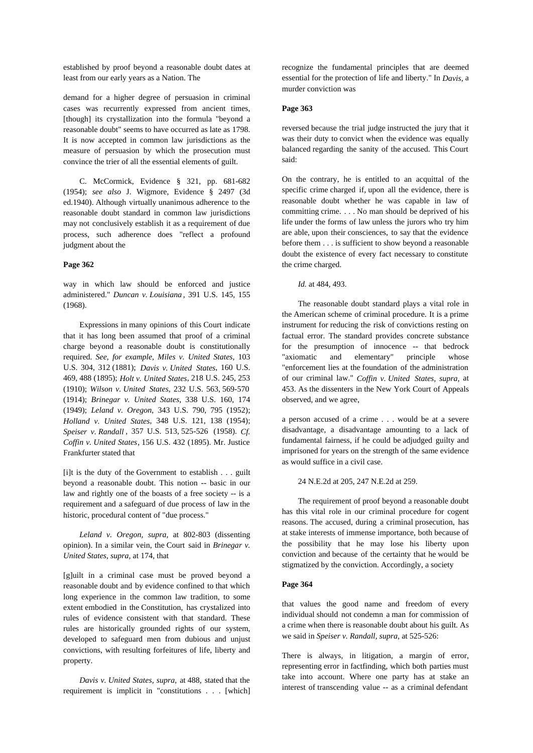established by proof beyond a reasonable doubt dates at least from our early years as a Nation. The

demand for a higher degree of persuasion in criminal cases was recurrently expressed from ancient times, [though] its crystallization into the formula "beyond a reasonable doubt" seems to have occurred as late as 1798. It is now accepted in common law jurisdictions as the measure of persuasion by which the prosecution must convince the trier of all the essential elements of guilt.

 C. McCormick, Evidence § 321, pp. 681-682 (1954); *see also* J.Wigmore, Evidence § 2497 (3d ed.1940). Although virtually unanimous adherence to the reasonable doubt standard in common law jurisdictions may not conclusively establish it as a requirement of due process, such adherence does "reflect a profound judgment about the

## **Page 362**

way in which law should be enforced and justice administered." *Duncan v. Louisiana* , 391 U.S. 145, 155 (1968).

 Expressions in many opinions of this Court indicate that it has long been assumed that proof of a criminal charge beyond a reasonable doubt is constitutionally required. *See, for example, Miles v. United States,* 103 U.S. 304, 312 (1881); *Davis v. United States*, 160 U.S. 469, 488 (1895); *Holt v. United States*, 218 U.S. 245, 253 (1910); *Wilson v. United States*, 232 U.S. 563, 569-570 (1914); *Brinegar v. United States*, 338 U.S. 160, 174 (1949); *Leland v. Oregon*, 343 U.S. 790, 795 (1952); *Holland v. United States*, 348 U.S. 121, 138 (1954); *Speiser v. Randall* , 357 U.S. 513, 525-526 (1958). *Cf. Coffin v. United States*, 156 U.S. 432 (1895). Mr. Justice Frankfurter stated that

[i]t is the duty of the Government to establish . . . guilt beyond a reasonable doubt. This notion -- basic in our law and rightly one of the boasts of a free society -- is a requirement and a safeguard of due process of law in the historic, procedural content of "due process."

 *Leland v. Oregon, supra,* at 802-803 (dissenting opinion). In a similar vein, the Court said in *Brinegar v. United States, supra,* at 174, that

[g]uilt in acriminal case must be proved beyond a reasonable doubt and by evidence confined to that which long experience in the common law tradition, to some extent embodied in the Constitution, has crystalized into rules of evidence consistent with that standard. These rules are historically grounded rights of our system, developed to safeguard men from dubious and unjust convictions, with resulting forfeitures of life, liberty and property.

 *Davis v. United States, supra,* at 488, stated that the requirement is implicit in "constitutions . . . [which] recognize the fundamental principles that are deemed essential for the protection of life and liberty." In *Davis,* a murder conviction was

#### **Page 363**

reversed because the trial judge instructed the jury that it was their duty to convict when the evidence was equally balanced regarding the sanity of the accused. This Court said:

On the contrary, he is entitled to an acquittal of the specific crime charged if, upon all the evidence, there is reasonable doubt whether he was capable in law of committing crime. . . . No man should be deprived of his life under the forms of law unless the jurors who try him are able, upon their consciences, to say that the evidence before them . . . is sufficient to show beyond a reasonable doubt the existence of every fact necessary to constitute the crime charged.

*Id.* at 484, 493.

 The reasonable doubt standard plays a vital role in the American scheme of criminal procedure. It is a prime instrument for reducing the risk of convictions resting on factual error. The standard provides concrete substance for the presumption of innocence -- that bedrock and elementary" principle whose "enforcement lies at the foundation of the administration of our criminal law." *Coffin v. United States, supra,* at 453. As the dissenters in the New York Court of Appeals observed, and we agree,

a person accused of a crime . . . would be at a severe disadvantage, a disadvantage amounting to a lack of fundamental fairness, if he could be adjudged guilty and imprisoned for years on the strength of the same evidence as would suffice in a civil case.

24 N.E.2d at 205, 247 N.E.2d at 259.

 The requirement of proof beyond a reasonable doubt has this vital role in our criminal procedure for cogent reasons. The accused, during a criminal prosecution, has at stake interests of immense importance, both because of the possibility that he may lose his liberty upon conviction and because of the certainty that he would be stigmatized by the conviction. Accordingly, a society

## **Page 364**

that values the good name and freedom of every individual should not condemn a man for commission of a crime when there is reasonable doubt about his guilt. As we said in *Speiser v. Randall, supra,* at 525-526:

There is always, in litigation, a margin of error, representing error in factfinding, which both parties must take into account. Where one party has at stake an interest of transcending value -- as a criminal defendant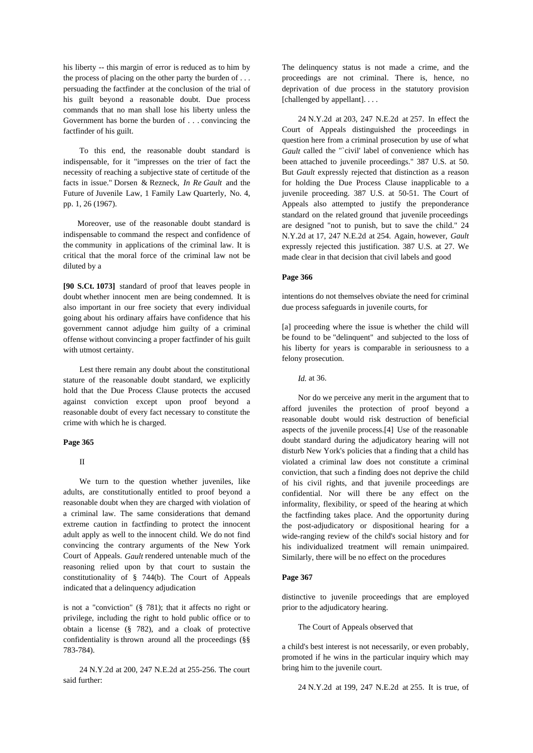his liberty -- this margin of error is reduced as to him by the process of placing on the other party the burden of . . . persuading the factfinder at the conclusion of the trial of his guilt beyond a reasonable doubt. Due process commands that no man shall lose his liberty unless the Government has borne the burden of . . . convincing the factfinder of his guilt.

 To this end, the reasonable doubt standard is indispensable, for it "impresses on the trier of fact the necessity of reaching a subjective state of certitude of the facts in issue." Dorsen & Rezneck, *In Re Gault* and the Future of Juvenile Law, 1 Family Law Quarterly, No. 4, pp. 1, 26 (1967).

 Moreover, use of the reasonable doubt standard is indispensable to command the respect and confidence of the community in applications of the criminal law. It is critical that the moral force of the criminal law not be diluted by a

**[90 S.Ct. 1073]** standard of proof that leaves people in doubt whether innocent men are being condemned. It is also important in our free society that every individual going about his ordinary affairs have confidence that his government cannot adjudge him guilty of a criminal offense without convincing a proper factfinder of his guilt with utmost certainty.

 Lest there remain any doubt about the constitutional stature of the reasonable doubt standard, we explicitly hold that the Due Process Clause protects the accused against conviction except upon proof beyond a reasonable doubt of every fact necessary to constitute the crime with which he is charged.

#### **Page 365**

#### **II** and the same state of  $\mathbf{I}$

 We turn to the question whether juveniles, like adults, are constitutionally entitled to proof beyond a reasonable doubt when they are charged with violation of a criminal law. The same considerations that demand extreme caution in factfinding to protect the innocent adult apply as well to the innocent child. We do not find convincing the contrary arguments of the New York Court of Appeals. *Gault* rendered untenable much of the reasoning relied upon by that court to sustain the constitutionality of § 744(b). The Court of Appeals indicated that a delinquency adjudication

is not a "conviction" (§ 781); that it affects no right or privilege, including the right to hold public office or to obtain alicense (§ 782), and a cloak of protective confidentiality is thrown around all the proceedings (§§ 783-784).

 24 N.Y.2d at 200, 247 N.E.2d at 255-256. The court said further:

The delinquency status is not made a crime, and the proceedings are not criminal. There is, hence, no deprivation of due process in the statutory provision [challenged by appellant]....

 24 N.Y.2d at 203, 247 N.E.2d at 257. In effect the Court of Appeals distinguished the proceedings in question here from a criminal prosecution by use of what *Gault* called the "`civil' label of convenience which has been attached to juvenile proceedings." 387 U.S. at 50. But *Gault* expressly rejected that distinction as a reason for holding the Due Process Clause inapplicable to a juvenile proceeding. 387 U.S. at 50-51. The Court of Appeals also attempted to justify the preponderance standard on the related ground that juvenile proceedings are designed "not to punish, but to save the child." 24 N.Y.2d at 17, 247 N.E.2d at 254. Again, however, *Gault* expressly rejected this justification. 387 U.S. at 27. We made clear in that decision that civil labels and good

## **Page 366**

intentions do not themselves obviate the need for criminal due process safeguards in juvenile courts, for

[a] proceeding where the issue is whether the child will be found to be "delinquent" and subjected to the loss of his liberty for years is comparable in seriousness to a felony prosecution.

*Id.* at 36.

 Nor do we perceive any merit in the argument that to afford juveniles the protection of proof beyond a reasonable doubt would risk destruction of beneficial aspects of the juvenile process.[4] Use of the reasonable doubt standard during the adjudicatory hearing will not disturb New York's policies that a finding that a child has violated a criminal law does not constitute a criminal conviction, that such a finding does not deprive the child of his civil rights, and that juvenile proceedings are confidential. Nor will there be any effect on the informality, flexibility, or speed of the hearing at which the factfinding takes place. And the opportunity during the post-adjudicatory or dispositional hearing for a wide-ranging review of the child's social history and for his individualized treatment will remain unimpaired. Similarly, there will be no effect on the procedures

### **Page 367**

distinctive to juvenile proceedings that are employed prior to the adjudicatory hearing.

The Court of Appeals observed that

a child's best interest is not necessarily, or even probably, promoted if he wins in the particular inquiry which may bring him to the juvenile court.

24 N.Y.2d at 199, 247 N.E.2d at 255. It is true, of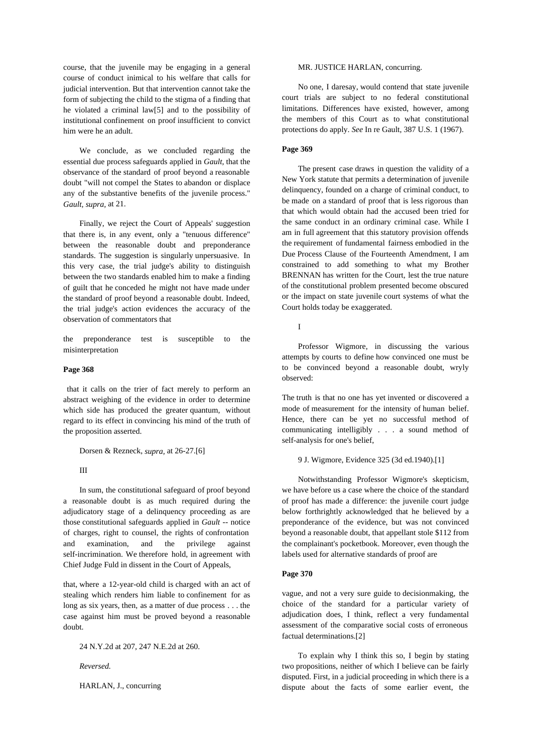course, that the juvenile may be engaging in a general course of conduct inimical to his welfare that calls for judicial intervention. But that intervention cannot take the form of subjecting the child to the stigma of a finding that he violated a criminal law[5] and to the possibility of institutional confinement on proof insufficient to convict him were he an adult.

 We conclude, as we concluded regarding the essential due process safeguards applied in *Gault,* that the observance of the standard of proof beyond a reasonable doubt "will not compel the States to abandon or displace any of the substantive benefits of the juvenile process." *Gault, supra,* at 21.

Finally, we reject the Court of Appeals' suggestion that there is, in any event, only a "tenuous difference" between the reasonable doubt and preponderance standards. The suggestion is singularly unpersuasive. In this very case, the trial judge's ability to distinguish between the two standards enabled him to make a finding of guilt that he conceded he might not have made under the standard of proof beyond a reasonable doubt. Indeed, the trial judge's action evidences the accuracy of the observation of commentators that

the preponderance test is susceptible to the misinterpretation

### **Page 368**

that it calls on the trier of fact merely to perform an abstract weighing of the evidence in order to determine which side has produced the greater quantum, without regard to its effect in convincing his mind of the truth of the proposition asserted.

Dorsen & Rezneck, *supra,* at 26-27.[6]

# III

 In sum, the constitutional safeguard of proof beyond a reasonable doubt is as much required during the adjudicatory stage of a delinquency proceeding as are those constitutional safeguards applied in *Gault* -- notice of charges, right to counsel, the rights of confrontation and examination, and the privilege against self-incrimination. We therefore hold, in agreement with Chief Judge Fuld in dissent in the Court of Appeals,

that, where a 12-year-old child is charged with an act of stealing which renders him liable to confinement for as long as six years, then, as a matter of due process . . . the case against him must be proved beyond a reasonable doubt.

24 N.Y.2d at 207, 247 N.E.2d at 260.

*Reversed.*

HARLAN, J., concurring

#### MR. JUSTICE HARLAN, concurring.

 No one, I daresay, would contend that state juvenile court trials are subject to no federal constitutional limitations. Differences have existed, however, among the members of this Court as to what constitutional protections do apply. *See* In re Gault, 387 U.S. 1 (1967).

## **Page 369**

 The present case draws in question the validity of a New York statute that permits a determination of juvenile delinquency, founded on a charge of criminal conduct, to be made on a standard of proof that is less rigorous than that which would obtain had the accused been tried for the same conduct in an ordinary criminal case. While I am in full agreement that this statutory provision offends the requirement of fundamental fairness embodied in the Due Process Clause of the Fourteenth Amendment, I am constrained to add something to what my Brother BRENNAN has written for the Court, lest the true nature of the constitutional problem presented become obscured or the impact on state juvenile court systems of what the Court holds today be exaggerated.

I

 Professor Wigmore, in discussing the various attempts by courts to define how convinced one must be to be convinced beyond a reasonable doubt, wryly observed:

The truth is that no one has yet invented or discovered a mode of measurement for the intensity of human belief. Hence, there can be yet no successful method of communicating intelligibly . . . a sound method of self-analysis for one's belief,

9 J. Wigmore, Evidence 325 (3d ed.1940).[1]

 Notwithstanding Professor Wigmore's skepticism, we have before us a case where the choice of the standard of proof has made a difference: the juvenile court judge below forthrightly acknowledged that he believed by a preponderance of the evidence, but was not convinced beyond a reasonable doubt, that appellant stole \$112 from the complainant's pocketbook. Moreover, even though the labels used for alternative standards of proof are

### **Page 370**

vague, and not a very sure guide to decisionmaking, the choice of the standard for a particular variety of adjudication does, I think, reflect a very fundamental assessment of the comparative social costs of erroneous factual determinations.[2]

 To explain why I think this so, I begin by stating two propositions, neither of which I believe can be fairly disputed. First, in a judicial proceeding in which there is a dispute about the facts of some earlier event, the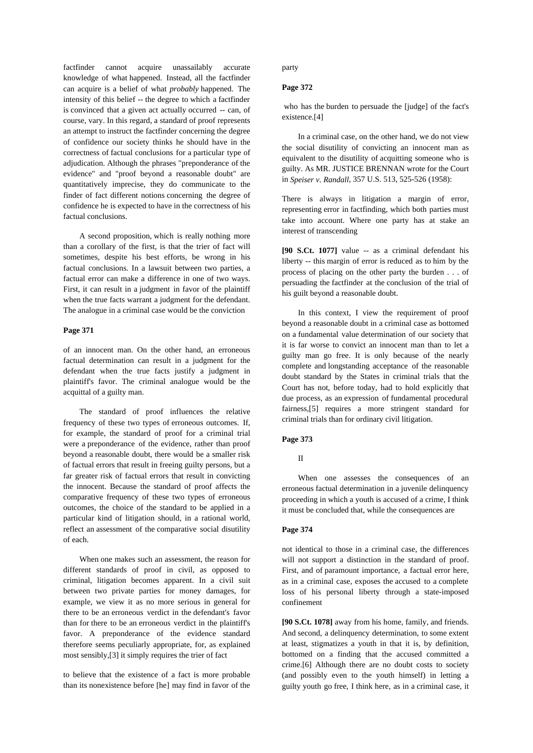factfinder cannot acquire unassailably accurate knowledge of what happened. Instead, all the factfinder can acquire is a belief of what *probably* happened. The intensity of this belief -- the degree to which a factfinder is convinced that a given act actually occurred -- can, of course, vary. In this regard, a standard of proof represents an attempt to instruct the factfinder concerning the degree of confidence our society thinks he should have in the correctness of factual conclusions for a particular type of adjudication. Although the phrases "preponderance of the evidence" and "proof beyond a reasonable doubt" are quantitatively imprecise, they do communicate to the finder of fact different notions concerning the degree of confidence he is expected to have in the correctness of his representing error in factfinding, which both parties must factual conclusions.

 A second proposition, which is really nothing more than a corollary of the first, is that the trier of fact will sometimes, despite his best efforts, be wrong in his factual conclusions. In a lawsuit between two parties, a factual error can make a difference in one of two ways. First, it can result in a judgment in favor of the plaintiff when the true facts warrant a judgment for the defendant. The analogue in a criminal case would be the conviction

#### **Page 371**

of an innocent man. On the other hand, an erroneous factual determination can result in a judgment for the defendant when the true facts justify a judgment in plaintiff's favor. The criminal analogue would be the acquittal of a guilty man.

 The standard of proof influences the relative frequency of these two types of erroneous outcomes. If, for example, the standard of proof for a criminal trial were a preponderance of the evidence, rather than proof beyond a reasonable doubt, there would be a smaller risk of factual errors that result in freeing guilty persons, but a far greater risk of factual errors that result in convicting the innocent. Because the standard of proof affects the comparative frequency of these two types of erroneous outcomes, the choice of the standard to be applied in a particular kind of litigation should, in a rational world, reflect an assessment of the comparative social disutility of each.

 When one makes such an assessment, the reason for different standards of proof in civil, as opposed to criminal, litigation becomes apparent. In a civil suit between two private parties for money damages, for example, we view it as no more serious in general for there to be an erroneous verdict in the defendant's favor than for there to be an erroneous verdict in the plaintiff's favor. A preponderance of the evidence standard therefore seems peculiarly appropriate, for, as explained most sensibly,[3] it simply requires the trier of fact

to believe that the existence of a fact is more probable than its nonexistence before [he] may find in favor of the

party

### **Page 372**

 who has the burden to persuade the [judge] of the fact's existence.[4]

 In a criminal case, on the other hand, we do not view the social disutility of convicting an innocent man as equivalent to the disutility of acquitting someone who is guilty. As MR. JUSTICE BRENNAN wrote for the Court in *Speiser v. Randall*, 357 U.S. 513, 525-526 (1958):

There is always in litigation a margin of error, take into account. Where one party has at stake an interest of transcending

**[90 S.Ct. 1077]** value -- as a criminal defendant his liberty -- this margin of error is reduced as to him by the process of placing on the other party the burden .. . of persuading the factfinder at the conclusion of the trial of his guilt beyond a reasonable doubt.

 In this context, I view the requirement of proof beyond a reasonable doubt in a criminal case as bottomed on a fundamental value determination of our society that it is far worse to convict an innocent man than to let a guilty man go free. It is only because of the nearly complete and longstanding acceptance of the reasonable doubt standard by the States in criminal trials that the Court has not, before today, had to hold explicitly that due process, as an expression of fundamental procedural fairness,[5] requires a more stringent standard for criminal trials than for ordinary civil litigation.

### **Page 373**

II

 When one assesses the consequences of an erroneous factual determination in a juvenile delinquency proceeding in which a youth is accused of a crime, I think it must be concluded that, while the consequences are

## **Page 374**

not identical to those in a criminal case, the differences will not support a distinction in the standard of proof. First, and of paramount importance, a factual error here, as in a criminal case, exposes the accused to a complete loss of his personal liberty through a state-imposed confinement

**[90 S.Ct. 1078]** away from his home, family, and friends. And second, a delinquency determination, to some extent at least, stigmatizes a youth in that it is, by definition, bottomed on afinding that the accused committed a crime.[6] Although there are no doubt costs to society (and possibly even to the youth himself) in letting a guilty youth go free, I think here, as in a criminal case, it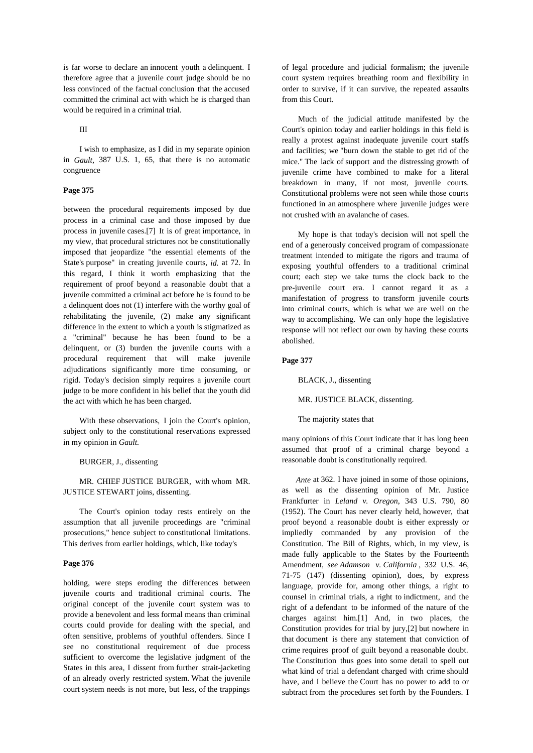is far worse to declare an innocent youth a delinquent. I therefore agree that a juvenile court judge should be no less convinced of the factual conclusion that the accused committed the criminal act with which he is charged than would be required in a criminal trial.

#### III

 I wish to emphasize, as I did in my separate opinion in *Gault,* 387 U.S. 1, 65, that there is no automatic congruence

## **Page 375**

between the procedural requirements imposed by due process in a criminal case and those imposed by due process in juvenile cases.[7] It is of great importance, in my view, that procedural strictures not be constitutionally imposed that jeopardize "the essential elements of the State's purpose" in creating juvenile courts, *id.* at 72. In this regard, I think it worth emphasizing that the requirement of proof beyond a reasonable doubt that a juvenile committed a criminal act before he is found to be a delinquent does not (1) interfere with the worthy goal of rehabilitating the juvenile, (2) make any significant difference in the extent to which a youth is stigmatized as a "criminal" because he has been found to be a delinquent, or (3) burden the juvenile courts with aprocedural requirement that will make juvenile adjudications significantly more time consuming, or rigid. Today's decision simply requires a juvenile court judge to be more confident in his belief that the youth did the act with which he has been charged.

 With these observations, I join the Court's opinion, subject only to the constitutional reservations expressed in my opinion in *Gault.*

## BURGER, J., dissenting

 MR. CHIEF JUSTICE BURGER, with whom MR. JUSTICE STEWART joins, dissenting.

 The Court's opinion today rests entirely on the assumption that all juvenile proceedings are "criminal prosecutions," hence subject to constitutional limitations. This derives from earlier holdings, which, like today's

# **Page 376**

holding, were steps eroding the differences between juvenile courts and traditional criminal courts. The original concept of the juvenile court system was to provide a benevolent and less formal means than criminal courts could provide for dealing with the special, and often sensitive, problems of youthful offenders. Since I see no constitutional requirement of due process sufficient to overcome the legislative judgment of the States in this area, I dissent from further strait-jacketing of an already overly restricted system. What the juvenile court system needs is not more, but less, of the trappings

of legal procedure and judicial formalism; the juvenile court system requires breathing room and flexibility in order to survive, if it can survive, the repeated assaults from this Court.

 Much of the judicial attitude manifested by the Court's opinion today and earlier holdings in this field is really a protest against inadequate juvenile court staffs and facilities; we "burn down the stable to get rid of the mice." The lack of support and the distressing growth of juvenile crime have combined to make for a literal breakdown in many, if not most, juvenile courts. Constitutional problems were not seen while those courts functioned in an atmosphere where juvenile judges were not crushed with an avalanche of cases.

My hope is that today's decision will not spell the end of a generously conceived program of compassionate treatment intended to mitigate the rigors and trauma of exposing youthful offenders to a traditional criminal court; each step we take turns the clock back to the pre-juvenile court era. I cannot regard it as a manifestation of progress to transform juvenile courts into criminal courts, which is what we are well on the way to accomplishing. We can only hope the legislative response will not reflect our own by having these courts abolished.

### **Page 377**

BLACK, J., dissenting

MR. JUSTICE BLACK, dissenting.

The majority states that

many opinions of this Court indicate that it has long been assumed that proof of a criminal charge beyond a reasonable doubt is constitutionally required.

 *Ante* at 362. I have joined in some of those opinions, as well as the dissenting opinion of Mr. Justice Frankfurter in *Leland v. Oregon*, 343 U.S. 790,80 (1952). The Court has never clearly held, however, that proof beyond a reasonable doubt is either expressly or impliedly commanded by any provision of the Constitution. The Bill of Rights, which, in my view, is made fully applicable to the States by the Fourteenth Amendment, *see Adamson v. California* , 332 U.S.46, 71-75 (147) (dissenting opinion), does, by express language, provide for, among other things, a right to counsel in criminal trials, a right to indictment, and the right of a defendant to be informed of the nature of the charges against him.[1] And, in two places, the Constitution provides for trial by jury,[2] but nowhere in that document is there any statement that conviction of crime requires proof of guilt beyond a reasonable doubt. The Constitution thus goes into some detail to spell out what kind of trial a defendant charged with crime should have, and I believe the Court has no power to add to or subtract from the procedures set forth by the Founders. I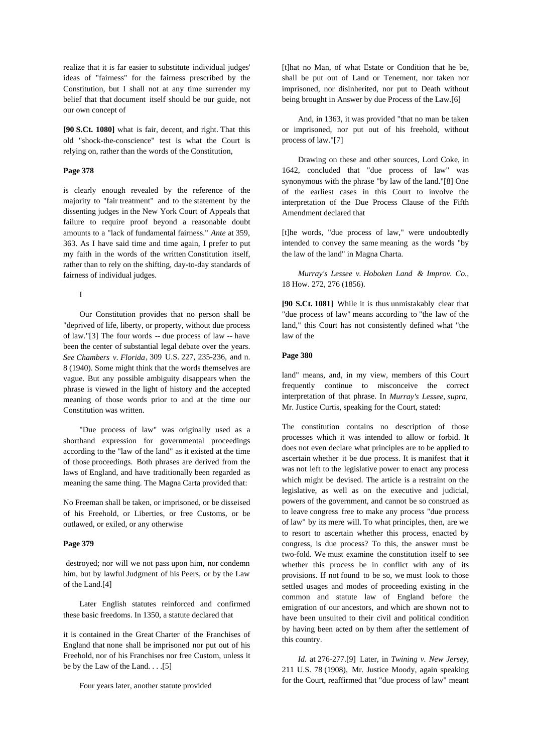realize that it is far easier to substitute individual judges' ideas of "fairness" for the fairness prescribed by the Constitution, but I shall not at any time surrender my belief that that document itself should be our guide, not our own concept of

**[90 S.Ct. 1080]** what is fair, decent, and right. That this old "shock-the-conscience" test is what the Court is relying on, rather than the words of the Constitution,

### **Page 378**

is clearly enough revealed by the reference of the majority to "fair treatment" and to the statement by the dissenting judges in the New York Court of Appeals that failure to require proof beyond a reasonable doubt amounts to a "lack of fundamental fairness." *Ante* at 359, 363. As I have said time and time again, I prefer to put my faith in the words of the written Constitution itself, rather than to rely on the shifting, day-to-day standards of fairness of individual judges.

### **I I I I**

 Our Constitution provides that no person shall be "deprived of life, liberty, or property, without due process of law."[3] The four words -- due process of law -- have been the center of substantial legal debate over the years. *See Chambers v. Florida*, 309 U.S. 227, 235-236, and n. 8 (1940). Some might think that the words themselves are vague. But any possible ambiguity disappears when the phrase isviewed in the light of history and the accepted meaning of those words prior to and at the time our Constitution was written.

 "Due process of law" was originally used as a shorthand expression for governmental proceedings according to the "law of the land" as it existed at the time of those proceedings. Both phrases are derived from the laws of England, and have traditionally been regarded as meaning the same thing. The Magna Carta provided that:

No Freeman shall be taken, or imprisoned, or be disseised of his Freehold, or Liberties, or free Customs, or be outlawed, or exiled, or any otherwise

#### **Page 379**

destroyed; nor will we not pass upon him, nor condemn him, but by lawful Judgment of his Peers, or by the Law of the Land.[4]

 Later English statutes reinforced and confirmed these basic freedoms. In 1350, a statute declared that

it is contained in the Great Charter of the Franchises of England that none shall be imprisoned nor put out of his Freehold, nor of his Franchises nor free Custom, unless it be by the Law of the Land. . . .[5]

Four years later, another statute provided

[t]hat no Man, of what Estate or Condition that he be, shall be put out of Land or Tenement, nor taken nor imprisoned, nor disinherited, nor put to Death without being brought in Answer by due Process of the Law.[6]

 And, in 1363, it was provided "that no man be taken or imprisoned, nor put out of his freehold, without process of law."[7]

 Drawing on these and other sources, Lord Coke, in 1642, concluded that "due process of law" was synonymous with the phrase "by law of the land."[8] One of the earliest cases in this Court to involve the interpretation of the Due Process Clause of the Fifth Amendment declared that

[t]he words, "due process of law," were undoubtedly intended to convey the same meaning as the words "by the law of the land" in Magna Charta.

 *Murray's Lessee v. Hoboken Land & Improv. Co.,* 18 How. 272, 276 (1856).

**[90 S.Ct. 1081]** While it is thus unmistakably clear that "due process of law" means according to "the law of the land," this Court has not consistently defined what "the law of the

#### **Page 380**

land" means, and, in my view, members of this Court frequently continue to misconceive the correct interpretation of that phrase. In *Murray's Lessee, supra,* Mr. Justice Curtis, speaking for the Court, stated:

The constitution contains no description of those processes which it was intended to allow or forbid. It does not even declare what principles are to be applied to ascertain whether it be due process. It is manifest that it was not left to the legislative power to enact any process which might be devised. The article is a restraint on the legislative, as well as on the executive and judicial, powers of the government, and cannot be so construed as to leave congress free to make any process "due process of law" by its mere will. To what principles, then, are we to resort to ascertain whether this process, enacted by congress, is due process? To this, the answer must be two-fold. We must examine the constitution itself to see whether this process be in conflict with any of its provisions. If not found to be so, we must look to those settled usages and modes of proceeding existing in the common and statute law of England before the emigration of our ancestors, and which are shown not to have been unsuited to their civil and political condition by having been acted on by them after the settlement of this country.

*Id.* at 276-277.[9] Later, in *Twining v. New Jersey*, 211 U.S. 78 (1908), Mr. Justice Moody, again speaking for the Court, reaffirmed that "due process of law" meant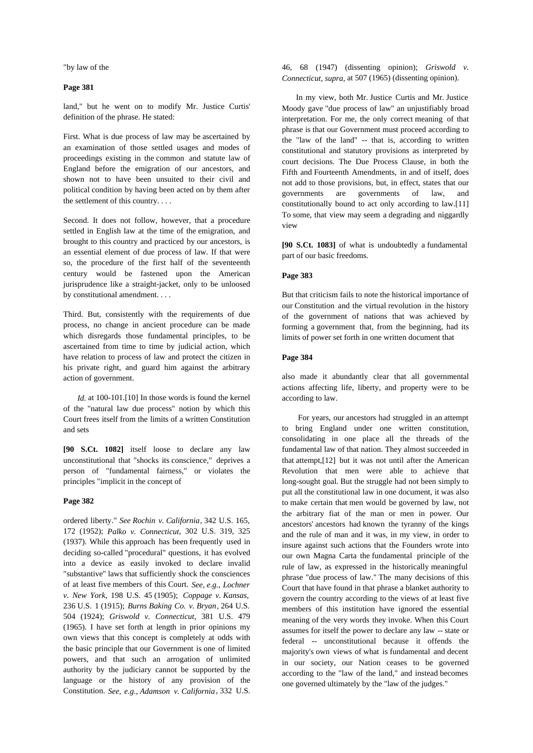"by law of the

### **Page 381**

land," but he went on to modify Mr. Justice Curtis' definition of the phrase. He stated:

First. What is due process of law may be ascertained by an examination of those settled usages and modes of proceedings existing in the common and statute law of England before the emigration of our ancestors, and shown not to have been unsuited to their civil and political condition by having been acted on by them after the settlement of this country. . . .

Second. It does not follow, however, that a procedure settled in English law at the time of the emigration, and brought to this country and practiced by our ancestors, is an essential element of due process of law. If that were so, the procedure of the first half of the seventeenth century would be fastened upon the American jurisprudence like a straight-jacket, only to be unloosed by constitutional amendment. . . .

Third. But, consistently with the requirements of due process, no change in ancient procedure can be made which disregards those fundamental principles, to be ascertained from time to time by judicial action, which have relation to process of law and protect the citizen in his private right, and guard him against the arbitrary action of government.

 *Id.* at 100-101.[10] In those words is found the kernel of the "natural law due process" notion by which this Court frees itself from the limits of a written Constitution and sets

**[90 S.Ct. 1082]** itself loose to declare any law unconstitutional that "shocks its conscience," deprives a person of "fundamental fairness," or violates the principles "implicit in the concept of

## **Page 382**

ordered liberty." *See Rochin v. California*, 342 U.S. 165, 172 (1952); *Palko v. Connecticut*, 302 U.S. 319, 325 (1937). While this approach has been frequently used in deciding so-called "procedural" questions, it has evolved into a device as easily invoked to declare invalid "substantive" laws that sufficiently shock the consciences of atleast five members of this Court. *See, e.g., Lochner v. New York*, 198 U.S. 45 (1905); *Coppage v. Kansas,* 236 U.S. 1 (1915); *Burns Baking Co. v. Bryan*, 264 U.S. 504 (1924); *Griswold v. Connecticut*, 381 U.S. 479 (1965). I have set forth at length in prior opinions my own views that this concept is completely at odds with the basic principle that our Government is one of limited powers, and that such an arrogation of unlimited authority by the judiciary cannot be supported by the language or the history of any provision of the Constitution. *See, e.g., Adamson v. California*, 332 U.S. 46, 68 (1947) (dissenting opinion); *Griswold v. Connecticut, supra,* at 507 (1965) (dissenting opinion).

 In my view, both Mr. Justice Curtis and Mr. Justice Moody gave "due process of law" an unjustifiably broad interpretation. For me, the only correct meaning of that phrase is that our Government must proceed according to the "law of the land" -- that is, according to written constitutional and statutory provisions as interpreted by court decisions. The Due Process Clause, in both the Fifth and Fourteenth Amendments, in and of itself, does not add to those provisions, but, in effect, states that our governments are governments of law, and constitutionally bound to act only according to law.[11] To some, that view may seem a degrading and niggardly view

**[90 S.Ct. 1083]** of what is undoubtedly a fundamental part of our basic freedoms.

### **Page 383**

But that criticism fails to note the historical importance of our Constitution and the virtual revolution in the history of the government of nations that was achieved by forming a government that, from the beginning, had its limits of power set forth in one written document that

## **Page 384**

also made it abundantly clear that all governmental actions affecting life, liberty, and property were to be according to law.

 For years, our ancestors had struggled in an attempt to bring England under one written constitution, consolidating in one place all the threads of the fundamental law of that nation. They almost succeeded in that attempt,[12] but it was not until after the American Revolution that men were able to achieve that long-sought goal. But the struggle had not been simply to put all the constitutional law in one document, it was also to make certain that men would be governed by law, not the arbitrary fiat of the man or men in power. Our ancestors' ancestors had known the tyranny of the kings and the rule of man and it was, in my view, in order to insure against such actions that the Founders wrote into our own Magna Carta the fundamental principle of the rule of law, as expressed in the historically meaningful phrase "due process of law." The many decisions of this Court that have found in that phrase a blanket authority to govern the country according to the views of atleast five members of this institution have ignored the essential meaning of the very words they invoke. When this Court assumes for itself the power to declare any law -- state or federal -- unconstitutional because it offends the majority's own views of what is fundamental and decent in our society, our Nation ceases to be governed according to the "law of the land," and instead becomes one governed ultimately by the "law of the judges."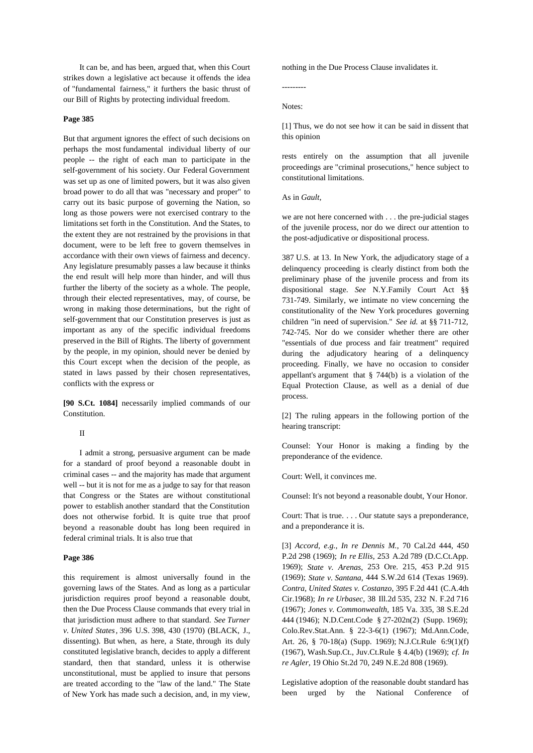It can be, and has been, argued that, when this Court strikes down a legislative act because it offends the idea of "fundamental fairness," it furthers the basic thrust of our Bill of Rights by protecting individual freedom.

#### **Page 385**

But that argument ignores the effect of such decisions on perhaps the most fundamental individual liberty of our people -- the right of each man to participate in the self-government of his society. Our Federal Government was set up as one of limited powers, but it was also given broad power to do all that was "necessary and proper" to carry out its basic purpose of governing the Nation, so long as those powers were not exercised contrary to the limitations set forth in the Constitution. And the States, to the extent they are not restrained by the provisions in that document, were to be left free to govern themselves in accordance with their own views of fairness and decency. Any legislature presumably passes a law because it thinks the end result will help more than hinder, and will thus further the liberty of the society as a whole. The people, through their elected representatives, may, of course, be wrong in making those determinations, but the right of self-government that our Constitution preserves is just as important as any of the specific individual freedoms preserved in the Bill of Rights. The liberty of government by the people, in my opinion, should never be denied by this Court except when the decision of the people, as stated in laws passed by their chosen representatives, conflicts with the express or

**[90 S.Ct. 1084]** necessarily implied commands of our Constitution.

### **II** and the same state of  $\mathbf{I}$

 I admit a strong, persuasive argument can be made for a standard of proof beyond a reasonable doubt in criminal cases -- and the majority has made that argument well -- but it is not for me as a judge to say for that reason that Congress or the States are without constitutional power to establish another standard that the Constitution does not otherwise forbid. It is quite true that proof beyond a reasonable doubt has long been required in federal criminal trials. It is also true that

### **Page 386**

this requirement is almost universally found in the governing lawsof the States. And as long as a particular jurisdiction requires proof beyond a reasonable doubt, then the Due Process Clause commands that every trial in that jurisdiction must adhere to that standard. *See Turner v. United States*, 396 U.S. 398, 430 (1970) (BLACK, J., dissenting). But when, as here, a State, through its duly constituted legislative branch, decides to apply a different standard, then that standard, unless it is otherwise unconstitutional, must be applied to insure that persons are treated according to the "law of the land." The State of New York has made such a decision, and, in my view, nothing in the Due Process Clause invalidates it.

---------

Notes:

[1] Thus, we do not see how it can be said in dissent that this opinion

rests entirely on the assumption that all juvenile proceedings are "criminal prosecutions," hence subject to constitutional limitations.

As in *Gault,*

we are not here concerned with . . . the pre-judicial stages of the juvenile process, nor do we direct our attention to the post-adjudicative or dispositional process.

387 U.S. at 13. In New York, the adjudicatory stage of a delinquency proceeding is clearly distinct from both the preliminary phase of the juvenile process and from its dispositional stage. *See* N.Y.Family Court Act §§ 731-749. Similarly, we intimate no view concerning the constitutionality of the New York procedures governing children "in need of supervision." *See id.* at §§ 711-712, 742-745. Nor do we consider whether there are other "essentials of due process and fair treatment" required during the adjudicatory hearing of a delinquency proceeding. Finally, we have no occasion to consider appellant's argument that § 744(b) is a violation of the Equal Protection Clause, as well as a denial of due process.

[2] The ruling appears in the following portion of the hearing transcript:

Counsel: Your Honor is making a finding by the preponderance of the evidence.

Court: Well, it convinces me.

Counsel: It's not beyond a reasonable doubt, Your Honor.

Court: That is true. . . . Our statute says a preponderance, and a preponderance it is.

[3] *Accord, e.g., In re Dennis M.,* 70 Cal.2d 444, 450 P.2d 298 (1969); *In re Ellis,* 253 A.2d 789 (D.C.Ct.App. 1969); *State v. Arenas,* 253 Ore. 215, 453 P.2d 915 (1969); *State v. Santana,* 444 S.W.2d 614 (Texas 1969). *Contra, United States v. Costanzo,* 395 F.2d 441 (C.A.4th Cir.1968); *In re Urbasec,* 38 Ill.2d 535, 232 N. F.2d 716 (1967); *Jones v. Commonwealth,* 185 Va. 335, 38 S.E.2d 444 (1946); N.D.Cent.Code § 27-202n(2) (Supp. 1969); Colo.Rev.Stat.Ann. § 22-3-6(1) (1967); Md.Ann.Code, Art. 26, § 70-18(a) (Supp. 1969); N.J.Ct.Rule 6:9(1)(f) (1967), Wash.Sup.Ct., Juv.Ct.Rule § 4.4(b) (1969); *cf. In re Agler,* 19 Ohio St.2d 70, 249 N.E.2d 808 (1969).

Legislative adoption of the reasonable doubt standard has been urged by the National Conference of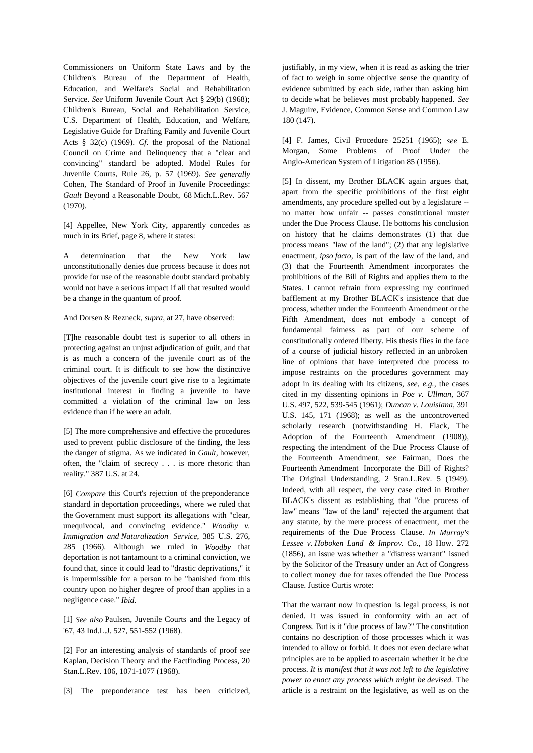Commissioners on Uniform State Laws and by the Children's Bureau of the Department of Health, Education, and Welfare's Social and Rehabilitation Service. *See* Uniform Juvenile Court Act § 29(b) (1968); Children's Bureau, Social and Rehabilitation Service, U.S. Department of Health, Education, and Welfare, Legislative Guide for Drafting Family and Juvenile Court Acts § 32(c) (1969). *Cf.* the proposal of the National Council on Crime and Delinquency that a "clear and convincing" standard be adopted. Model Rules for Juvenile Courts, Rule 26, p. 57 (1969). *See generally* Cohen, The Standard of Proof in Juvenile Proceedings: *Gault* Beyond a Reasonable Doubt, 68 Mich.L.Rev. 567 (1970).

[4] Appellee, New York City, apparently concedes as much in its Brief, page 8, where it states:

unconstitutionally denies due process because it does not provide for use of the reasonable doubt standard probably would not have a serious impact if all that resulted would be a change in the quantum of proof.

And Dorsen & Rezneck, *supra,* at 27, have observed:

[T]he reasonable doubt test is superior to all others in protecting against an unjust adjudication of guilt, and that is as much a concern of the juvenile court as of the criminal court. It is difficult to see how the distinctive objectives of the juvenile court give rise to a legitimate institutional interest in finding a juvenile to have committed a violation of the criminal law on less evidence than if he were an adult.

[5] The more comprehensive and effective the procedures used to prevent public disclosure of the finding, the less the danger of stigma. As we indicated in *Gault,* however, often, the "claim of secrecy . . . is more rhetoric than reality." 387 U.S. at 24.

[6] *Compare* this Court's rejection of the preponderance standard in deportation proceedings, where we ruled that the Government must support its allegations with "clear, unequivocal, and convincing evidence." *Woodby v. Immigration and Naturalization Service*, 385 U.S. 276, 285 (1966). Although we ruled in *Woodby* that deportation is not tantamount to a criminal conviction, we found that, since it could lead to "drastic deprivations," it is impermissible for a person to be "banished from this country upon no higher degree of proof than applies in a negligence case." *Ibid.*

[1] *See also* Paulsen, Juvenile Courts and the Legacy of '67, 43 Ind.L.J. 527, 551-552 (1968).

[2] For an interesting analysis of standards of proof *see* Kaplan, Decision Theory and the Factfinding Process, 20 Stan.L.Rev. 106, 1071-1077 (1968).

[3] The preponderance test has been criticized,

justifiably, in my view, when it is read as asking the trier of fact to weigh in some objective sense the quantity of evidence submitted by each side, rather than asking him to decide what he believes most probably happened. *See* J. Maguire, Evidence, Common Sense and Common Law 180 (147).

[4] F. James, Civil Procedure 25251 (1965); *see* E. Morgan, Some Problems of Proof Under the Anglo-American System of Litigation 85 (1956).

A determination that the New York law enactment, *ipso facto,* is part of the law of the land, and [5] In dissent, my Brother BLACK again argues that, apart from the specific prohibitions of the first eight amendments, any procedure spelled out by a legislature - no matter how unfair -- passes constitutional muster under the Due Process Clause. He bottoms his conclusion on history that he claims demonstrates (1) that due process means "law of the land"; (2) that any legislative (3) that the Fourteenth Amendment incorporates the prohibitions of the Bill of Rights and applies them to the States. I cannot refrain from expressing my continued bafflement at my Brother BLACK's insistence that due process, whether under the Fourteenth Amendment or the Fifth Amendment, does not embody a concept of fundamental fairness as part of our scheme of constitutionally ordered liberty. His thesis flies in the face of a course of judicial history reflected in an unbroken line of opinions that have interpreted due process to impose restraints on the procedures government may adopt in its dealing with its citizens, *see, e.g.,* the cases cited in my dissenting opinions in *Poe v. Ullman*, 367 U.S. 497, 522, 539-545 (1961); *Duncan v. Louisiana*, 391 U.S. 145, 171 (1968); as well as the uncontroverted scholarly research (notwithstanding H. Flack, The Adoption of the Fourteenth Amendment (1908)), respecting the intendment of the Due Process Clause of the Fourteenth Amendment, *see* Fairman, Does the Fourteenth Amendment Incorporate the Bill of Rights? The Original Understanding, 2 Stan.L.Rev. 5 (1949). Indeed, with all respect, the very case cited in Brother BLACK's dissent as establishing that "due process of law" means "law of the land" rejected the argument that any statute, by the mere process of enactment, met the requirements of the Due Process Clause. *In Murray's Lessee v. Hoboken Land & Improv. Co.,* 18 How. 272 (1856), an issue was whether a "distress warrant" issued by the Solicitor of the Treasury under an Act of Congress to collect money due for taxes offended the Due Process Clause. Justice Curtis wrote:

> That the warrant now in question is legal process, is not denied. It was issued in conformity with an act of Congress. But is it "due process of law?" The constitution contains no description of those processes which it was intended to allow or forbid. It does not even declare what principles are to be applied to ascertain whether it be due process. *It is manifest that it was not left to the legislative power to enact any process which might be devised.* The article is a restraint on the legislative, as well as on the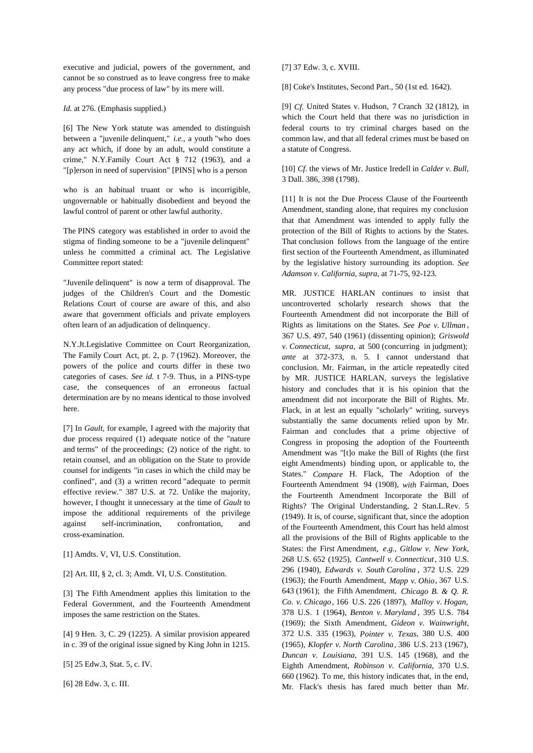executive and judicial, powers of the government, and cannot be so construed as to leave congress free to make any process "due process of law" by its mere will.

*Id.* at 276. (Emphasis supplied.)

[6] The New York statute was amended to distinguish between a "juvenile delinquent," *i.e.,* a youth "who does any act which, if done by an adult, would constitute a crime," N.Y.Family Court Act § 712 (1963), and a "[p]erson in need of supervision" [PINS] who is a person

who is an habitual truant or who is incorrigible, ungovernable or habitually disobedient and beyond the lawful control of parent or other lawful authority.

The PINS category was established in order to avoid the stigma of finding someone to be a "juvenile delinquent" unless he committed a criminal act. The Legislative Committee report stated:

"Juvenile delinquent" is now a term of disapproval. The judges of the Children's Court and the Domestic Relations Court of course are aware of this, and also aware that government officials and private employers often learn of an adjudication of delinquency.

N.Y.Jt.Legislative Committee on Court Reorganization, The Family Court Act, pt. 2, p. 7 (1962). Moreover, the powers of the police and courts differ in these two categories of cases. *See id.* t 7-9. Thus, in a PINS-type case, the consequences of an erroneous factual determination are by no means identical to those involved here.

[7] In *Gault,* for example, I agreed with the majority that due process required (1) adequate notice of the "nature and terms" of the proceedings; (2) notice of the right. to retain counsel, and an obligation on the State to provide counsel for indigents "in cases in which the child may be confined", and (3) a written record "adequate to permit effective review." 387 U.S. at 72. Unlike the majority, however, I thought it unnecessary at the time of *Gault* to impose the additional requirements of the privilege against self-incrimination, confrontation, and cross-examination.

[1] Amdts. V, VI, U.S. Constitution.

[2] Art. III, § 2, cl. 3; Amdt. VI, U.S. Constitution.

[3] The Fifth Amendment applies this limitation to the Federal Government, and the Fourteenth Amendment imposes the same restriction on the States.

[4] 9 Hen. 3, C. 29 (1225). A similar provision appeared in c. 39 of the original issue signed by King John in 1215.

[5] 25 Edw.3, Stat. 5, c. IV.

[6] 28 Edw. 3, c. III.

[7] 37 Edw. 3, c. XVIII.

[8] Coke's Institutes, Second Part., 50 (1st ed. 1642).

[9] *Cf.*United States v. Hudson, 7 Cranch 32 (1812), in which the Court held that there was no jurisdiction in federal courts to try criminal charges based on the common law, and that all federal crimes must be based on a statute of Congress.

[10] *Cf.* the views of Mr. Justice Iredell in *Calder v. Bull,* 3 Dall. 386, 398 (1798).

[11] It is not the Due Process Clause of the Fourteenth Amendment, standing alone, that requires my conclusion that that Amendment was intended to apply fully the protection of the Bill of Rights to actions by the States. That conclusion follows from the language of the entire first section of the Fourteenth Amendment, as illuminated by the legislative history surrounding its adoption. *See Adamson v. California, supra,* at 71-75, 92-123.

MR. JUSTICE HARLAN continues to insist that uncontroverted scholarly research shows that the Fourteenth Amendment did not incorporate the Bill of Rights as limitations on the States.*See Poe v. Ullman* , 367 U.S. 497, 540 (1961) (dissenting opinion); *Griswold v. Connecticut, supra,* at 500 (concurring in judgment); *ante* at 372-373, n. 5. I cannot understand that conclusion. Mr. Fairman, in the article repeatedly cited by MR. JUSTICE HARLAN, surveys the legislative history and concludes that it is his opinion that the amendment did not incorporate the Bill of Rights. Mr. Flack, in at lest an equally "scholarly" writing, surveys substantially the same documents relied upon by Mr. Fairman and concludes that a prime objective of Congress in proposing the adoption of the Fourteenth Amendment was "[t]o make the Bill of Rights (the first eight Amendments) binding upon, or applicable to, the States." *Compare* H. Flack, The Adoption of the Fourteenth Amendment 94 (1908), *with* Fairman, Does the Fourteenth Amendment Incorporate the Bill of Rights? The Original Understanding, 2 Stan.L.Rev. 5 (1949). It is, of course, significant that, since the adoption of the Fourteenth Amendment, this Court has held almost all the provisions of the Bill of Rights applicable to the States: the First Amendment, *e.g., Gitlow v. New York*, 268 U.S. 652 (1925), *Cantwell v. Connecticut*, 310 U.S. 296 (1940), *Edwards v. South Carolina* , 372 U.S. 229 (1963); the Fourth Amendment, *Mapp v. Ohio*, 367 U.S. 643 (1961); the Fifth Amendment, *Chicago B. & Q. R. Co. v. Chicago*, 166 U.S. 226 (1897), *Malloy v. Hogan,* 378 U.S. 1 (1964), *Benton v. Maryland* , 395 U.S. 784 (1969); the Sixth Amendment, *Gideon v. Wainwright*, 372 U.S. 335 (1963), *Pointer v. Texas*, 380 U.S. 400 (1965), *Klopfer v. North Carolina*, 386 U.S. 213 (1967), *Duncan v. Louisiana*, 391 U.S. 145 (1968), and the Eighth Amendment, *Robinson v. California*, 370 U.S. 660 (1962). To me, this history indicates that, in the end, Mr. Flack's thesis has fared much better than Mr.